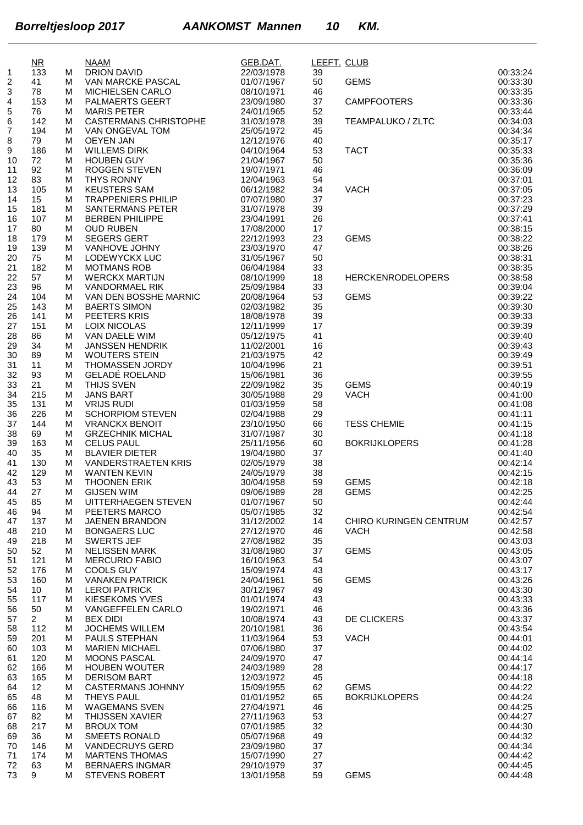|          | $\overline{\text{MR}}$ |        | <b>NAAM</b>                                  | GEB.DAT.                 | LEEFT. CLUB |                                       |                      |
|----------|------------------------|--------|----------------------------------------------|--------------------------|-------------|---------------------------------------|----------------------|
| 1        | 133                    | м      | DRION DAVID                                  | 22/03/1978               | 39          |                                       | 00:33:24             |
| 2        | 41                     | м      | VAN MARCKE PASCAL                            | 01/07/1967               | 50          | <b>GEMS</b>                           | 00:33:30             |
| 3<br>4   | 78<br>153              | м<br>M | MICHIELSEN CARLO<br>PALMAERTS GEERT          | 08/10/1971<br>23/09/1980 | 46<br>37    | <b>CAMPFOOTERS</b>                    | 00:33:35<br>00:33:36 |
| 5        | 76                     | M      | <b>MARIS PETER</b>                           | 24/01/1965               | 52          |                                       | 00:33:44             |
| 6        | 142                    | м      | <b>CASTERMANS CHRISTOPHE</b>                 | 31/03/1978               | 39          | <b>TEAMPALUKO / ZLTC</b>              | 00:34:03             |
| 7        | 194                    | M      | VAN ONGEVAL TOM                              | 25/05/1972               | 45          |                                       | 00:34:34             |
| 8        | 79                     | M      | <b>OEYEN JAN</b>                             | 12/12/1976               | 40          |                                       | 00:35:17             |
| 9        | 186                    | M      | <b>WILLEMS DIRK</b>                          | 04/10/1964               | 53          | <b>TACT</b>                           | 00:35:33             |
| 10       | 72                     | M      | <b>HOUBEN GUY</b>                            | 21/04/1967               | 50          |                                       | 00:35:36             |
| 11       | 92                     | M      | <b>ROGGEN STEVEN</b>                         | 19/07/1971               | 46          |                                       | 00:36:09             |
| 12<br>13 | 83<br>105              | M<br>M | <b>THYS RONNY</b><br><b>KEUSTERS SAM</b>     | 12/04/1963<br>06/12/1982 | 54<br>34    | <b>VACH</b>                           | 00:37:01<br>00:37:05 |
| 14       | 15                     | м      | <b>TRAPPENIERS PHILIP</b>                    | 07/07/1980               | 37          |                                       | 00:37:23             |
| 15       | 181                    | M      | SANTERMANS PETER                             | 31/07/1978               | 39          |                                       | 00:37:29             |
| 16       | 107                    | M      | <b>BERBEN PHILIPPE</b>                       | 23/04/1991               | 26          |                                       | 00:37:41             |
| 17       | 80                     | м      | <b>OUD RUBEN</b>                             | 17/08/2000               | 17          |                                       | 00:38:15             |
| 18       | 179                    | M      | <b>SEGERS GERT</b>                           | 22/12/1993               | 23          | <b>GEMS</b>                           | 00:38:22             |
| 19       | 139                    | M      | VANHOVE JOHNY                                | 23/03/1970               | 47          |                                       | 00:38:26             |
| 20       | 75                     | M      | LODEWYCKX LUC                                | 31/05/1967               | 50<br>33    |                                       | 00:38:31<br>00:38:35 |
| 21<br>22 | 182<br>57              | M<br>M | <b>MOTMANS ROB</b><br><b>WERCKX MARTIJN</b>  | 06/04/1984<br>08/10/1999 | 18          | <b>HERCKENRODELOPERS</b>              | 00:38:58             |
| 23       | 96                     | м      | <b>VANDORMAEL RIK</b>                        | 25/09/1984               | 33          |                                       | 00:39:04             |
| 24       | 104                    | M      | VAN DEN BOSSHE MARNIC                        | 20/08/1964               | 53          | <b>GEMS</b>                           | 00:39:22             |
| 25       | 143                    | M      | <b>BAERTS SIMON</b>                          | 02/03/1982               | 35          |                                       | 00:39:30             |
| 26       | 141                    | м      | PEETERS KRIS                                 | 18/08/1978               | 39          |                                       | 00:39:33             |
| 27       | 151                    | M      | <b>LOIX NICOLAS</b>                          | 12/11/1999               | 17          |                                       | 00:39:39             |
| 28       | 86                     | M      | VAN DAELE WIM                                | 05/12/1975               | 41          |                                       | 00:39:40             |
| 29       | 34                     | M      | <b>JANSSEN HENDRIK</b>                       | 11/02/2001               | 16          |                                       | 00:39:43             |
| 30<br>31 | 89<br>11               | M<br>м | <b>WOUTERS STEIN</b><br>THOMASSEN JORDY      | 21/03/1975<br>10/04/1996 | 42<br>21    |                                       | 00:39:49<br>00:39:51 |
| 32       | 93                     | M      | GELADÉ ROELAND                               | 15/06/1981               | 36          |                                       | 00:39:55             |
| 33       | 21                     | M      | THIJS SVEN                                   | 22/09/1982               | 35          | <b>GEMS</b>                           | 00:40:19             |
| 34       | 215                    | M      | <b>JANS BART</b>                             | 30/05/1988               | 29          | <b>VACH</b>                           | 00:41:00             |
| 35       | 131                    | м      | <b>VRIJS RUDI</b>                            | 01/03/1959               | 58          |                                       | 00:41:08             |
| 36       | 226                    | M      | <b>SCHORPIOM STEVEN</b>                      | 02/04/1988               | 29          |                                       | 00:41:11             |
| 37       | 144                    | м      | <b>VRANCKX BENOIT</b>                        | 23/10/1950               | 66          | <b>TESS CHEMIE</b>                    | 00:41:15             |
| 38       | 69                     | M      | <b>GRZECHNIK MICHAL</b><br><b>CELUS PAUL</b> | 31/07/1987               | 30          |                                       | 00:41:18             |
| 39<br>40 | 163<br>35              | M<br>M | <b>BLAVIER DIETER</b>                        | 25/11/1956<br>19/04/1980 | 60<br>37    | <b>BOKRIJKLOPERS</b>                  | 00:41:28<br>00:41:40 |
| 41       | 130                    | м      | <b>VANDERSTRAETEN KRIS</b>                   | 02/05/1979               | 38          |                                       | 00:42:14             |
| 42       | 129                    | м      | <b>WANTEN KEVIN</b>                          | 24/05/1979               | 38          |                                       | 00:42:15             |
| 43       | 53                     | м      | THOONEN ERIK                                 | 30/04/1958               | 59          | <b>GEMS</b>                           | 00:42:18             |
| 44       | 27                     | м      | <b>GIJSEN WIM</b>                            | 09/06/1989               | 28          | <b>GEMS</b>                           | 00:42:25             |
| 45       | 85                     | M      | UITTERHAEGEN STEVEN                          | 01/07/1967               | 50          |                                       | 00:42:44             |
| 46       | 94                     | м      | PEETERS MARCO                                | 05/07/1985               | 32          |                                       | 00:42:54             |
| 47       | 137<br>210             | м      | <b>JAENEN BRANDON</b><br><b>BONGAERS LUC</b> | 31/12/2002<br>27/12/1970 | 14<br>46    | CHIRO KURINGEN CENTRUM<br><b>VACH</b> | 00:42:57<br>00:42:58 |
| 48<br>49 | 218                    | м<br>м | <b>SWERTS JEF</b>                            | 27/08/1982               | 35          |                                       | 00:43:03             |
| 50       | 52                     | м      | <b>NELISSEN MARK</b>                         | 31/08/1980               | 37          | <b>GEMS</b>                           | 00:43:05             |
| 51       | 121                    | м      | <b>MERCURIO FABIO</b>                        | 16/10/1963               | 54          |                                       | 00:43:07             |
| 52       | 176                    | м      | <b>COOLS GUY</b>                             | 15/09/1974               | 43          |                                       | 00:43:17             |
| 53       | 160                    | м      | <b>VANAKEN PATRICK</b>                       | 24/04/1961               | 56          | <b>GEMS</b>                           | 00:43:26             |
| 54       | 10                     | M      | <b>LEROI PATRICK</b>                         | 30/12/1967               | 49          |                                       | 00:43:30             |
| 55       | 117                    | M      | <b>KIESEKOMS YVES</b>                        | 01/01/1974               | 43          |                                       | 00:43:33             |
| 56<br>57 | 50<br>$2^{\circ}$      | м<br>M | <b>VANGEFFELEN CARLO</b><br><b>BEX DIDI</b>  | 19/02/1971<br>10/08/1974 | 46<br>43    | DE CLICKERS                           | 00:43:36<br>00:43:37 |
| 58       | 112                    | м      | <b>JOCHEMS WILLEM</b>                        | 20/10/1981               | 36          |                                       | 00:43:54             |
| 59       | 201                    | м      | PAULS STEPHAN                                | 11/03/1964               | 53          | <b>VACH</b>                           | 00:44:01             |
| 60       | 103                    | м      | <b>MARIEN MICHAEL</b>                        | 07/06/1980               | 37          |                                       | 00:44:02             |
| 61       | 120                    | м      | <b>MOONS PASCAL</b>                          | 24/09/1970               | 47          |                                       | 00:44:14             |
| 62       | 166                    | м      | <b>HOUBEN WOUTER</b>                         | 24/03/1989               | 28          |                                       | 00:44:17             |
| 63       | 165                    | M      | <b>DERISOM BART</b>                          | 12/03/1972               | 45          |                                       | 00:44:18             |
| 64       | 12                     | M      | <b>CASTERMANS JOHNNY</b>                     | 15/09/1955               | 62          | <b>GEMS</b>                           | 00:44:22             |
| 65<br>66 | 48<br>116              | м<br>M | <b>THEYS PAUL</b><br><b>WAGEMANS SVEN</b>    | 01/01/1952<br>27/04/1971 | 65<br>46    | <b>BOKRIJKLOPERS</b>                  | 00:44:24<br>00:44:25 |
| 67       | 82                     | м      | <b>THIJSSEN XAVIER</b>                       | 27/11/1963               | 53          |                                       | 00:44:27             |
| 68       | 217                    | м      | <b>BROUX TOM</b>                             | 07/01/1985               | 32          |                                       | 00:44:30             |
| 69       | 36                     | M      | <b>SMEETS RONALD</b>                         | 05/07/1968               | 49          |                                       | 00:44:32             |
| 70       | 146                    | м      | <b>VANDECRUYS GERD</b>                       | 23/09/1980               | 37          |                                       | 00:44:34             |
| 71       | 174                    | м      | <b>MARTENS THOMAS</b>                        | 15/07/1990               | 27          |                                       | 00:44:42             |
| 72       | 63                     | M      | <b>BERNAERS INGMAR</b>                       | 29/10/1979               | 37          |                                       | 00:44:45             |
| 73       | 9                      | м      | <b>STEVENS ROBERT</b>                        | 13/01/1958               | 59          | <b>GEMS</b>                           | 00:44:48             |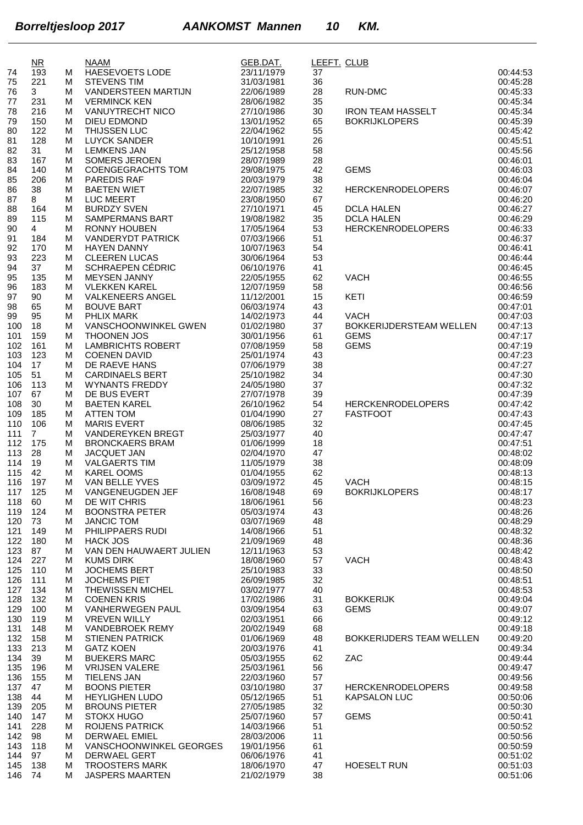|            | $\overline{\text{MR}}$ |        | <b>NAAM</b>                                      | GEB.DAT.                 | LEEFT. CLUB |                                               |                      |
|------------|------------------------|--------|--------------------------------------------------|--------------------------|-------------|-----------------------------------------------|----------------------|
| 74         | 193                    | М      | <b>HAESEVOETS LODE</b>                           | 23/11/1979               | 37          |                                               | 00:44:53             |
| 75         | 221                    | М      | <b>STEVENS TIM</b>                               | 31/03/1981               | 36          |                                               | 00:45:28             |
| 76         | 3                      | M      | VANDERSTEEN MARTIJN                              | 22/06/1989               | 28          | <b>RUN-DMC</b>                                | 00:45:33             |
| 77<br>78   | 231<br>216             | М<br>М | <b>VERMINCK KEN</b><br><b>VANUYTRECHT NICO</b>   | 28/06/1982<br>27/10/1986 | 35<br>30    | <b>IRON TEAM HASSELT</b>                      | 00:45:34<br>00:45:34 |
| 79         | 150                    | М      | <b>DIEU EDMOND</b>                               | 13/01/1952               | 65          | <b>BOKRIJKLOPERS</b>                          | 00:45:39             |
| 80         | 122                    | М      | THIJSSEN LUC                                     | 22/04/1962               | 55          |                                               | 00:45:42             |
| 81         | 128                    | М      | <b>LUYCK SANDER</b>                              | 10/10/1991               | 26          |                                               | 00:45:51             |
| 82         | 31                     | М      | <b>LEMKENS JAN</b>                               | 25/12/1958               | 58          |                                               | 00:45:56             |
| 83         | 167                    | М      | <b>SOMERS JEROEN</b>                             | 28/07/1989               | 28          |                                               | 00:46:01             |
| 84         | 140                    | М      | <b>COENGEGRACHTS TOM</b>                         | 29/08/1975               | 42          | <b>GEMS</b>                                   | 00:46:03             |
| 85         | 206                    | М      | <b>PAREDIS RAF</b>                               | 20/03/1979               | 38          |                                               | 00:46:04             |
| 86         | 38                     | M      | <b>BAETEN WIET</b>                               | 22/07/1985               | 32          | <b>HERCKENRODELOPERS</b>                      | 00:46:07             |
| 87         | 8                      | M      | <b>LUC MEERT</b>                                 | 23/08/1950               | 67          |                                               | 00:46:20             |
| 88         | 164                    | М      | <b>BURDZY SVEN</b>                               | 27/10/1971               | 45          | <b>DCLA HALEN</b>                             | 00:46:27             |
| 89         | 115                    | M      | <b>SAMPERMANS BART</b><br><b>RONNY HOUBEN</b>    | 19/08/1982               | 35          | <b>DCLA HALEN</b><br><b>HERCKENRODELOPERS</b> | 00:46:29             |
| 90<br>91   | 4<br>184               | М<br>M | <b>VANDERYDT PATRICK</b>                         | 17/05/1964<br>07/03/1966 | 53<br>51    |                                               | 00:46:33<br>00:46:37 |
| 92         | 170                    | М      | <b>HAYEN DANNY</b>                               | 10/07/1963               | 54          |                                               | 00:46:41             |
| 93         | 223                    | M      | <b>CLEEREN LUCAS</b>                             | 30/06/1964               | 53          |                                               | 00:46:44             |
| 94         | 37                     | M      | SCHRAEPEN CÉDRIC                                 | 06/10/1976               | 41          |                                               | 00:46:45             |
| 95         | 135                    | M      | <b>MEYSEN JANNY</b>                              | 22/05/1955               | 62          | <b>VACH</b>                                   | 00:46:55             |
| 96         | 183                    | М      | <b>VLEKKEN KAREL</b>                             | 12/07/1959               | 58          |                                               | 00:46:56             |
| 97         | 90                     | M      | <b>VALKENEERS ANGEL</b>                          | 11/12/2001               | 15          | KETI                                          | 00:46:59             |
| 98         | 65                     | M      | <b>BOUVE BART</b>                                | 06/03/1974               | 43          |                                               | 00:47:01             |
| 99         | 95                     | M      | PHLIX MARK                                       | 14/02/1973               | 44          | <b>VACH</b>                                   | 00:47:03             |
| 100        | 18                     | M      | VANSCHOONWINKEL GWEN                             | 01/02/1980               | 37          | BOKKERIJDERSTEAM WELLEN                       | 00:47:13             |
| 101        | 159                    | М      | <b>THOONEN JOS</b>                               | 30/01/1956               | 61          | <b>GEMS</b>                                   | 00:47:17             |
| 102        | 161                    | М      | <b>LAMBRICHTS ROBERT</b>                         | 07/08/1959               | 58          | <b>GEMS</b>                                   | 00:47:19             |
| 103        | 123                    | М      | <b>COENEN DAVID</b>                              | 25/01/1974               | 43          |                                               | 00:47:23             |
| 104        | 17                     | М      | DE RAEVE HANS                                    | 07/06/1979               | 38          |                                               | 00:47:27             |
| 105        | 51                     | М      | <b>CARDINAELS BERT</b>                           | 25/10/1982               | 34          |                                               | 00:47:30             |
| 106        | 113                    | M      | <b>WYNANTS FREDDY</b>                            | 24/05/1980               | 37          |                                               | 00:47:32             |
| 107        | 67                     | М      | DE BUS EVERT                                     | 27/07/1978               | 39          |                                               | 00:47:39             |
| 108        | 30                     | М      | <b>BAETEN KAREL</b>                              | 26/10/1962               | 54          | <b>HERCKENRODELOPERS</b>                      | 00:47:42             |
| 109        | 185                    | М      | <b>ATTEN TOM</b>                                 | 01/04/1990               | 27          | <b>FASTFOOT</b>                               | 00:47:43             |
| 110        | 106                    | M      | <b>MARIS EVERT</b>                               | 08/06/1985               | 32          |                                               | 00:47:45             |
| 111        | $\overline{7}$         | M      | VANDEREYKEN BREGT                                | 25/03/1977               | 40          |                                               | 00:47:47             |
| 112<br>113 | 175<br>28              | М<br>М | <b>BRONCKAERS BRAM</b><br><b>JACQUET JAN</b>     | 01/06/1999<br>02/04/1970 | 18<br>47    |                                               | 00:47:51<br>00:48:02 |
| 114        | 19                     | M      | <b>VALGAERTS TIM</b>                             | 11/05/1979               | 38          |                                               | 00:48:09             |
| 115        | 42                     | M      | <b>KAREL OOMS</b>                                | 01/04/1955               | 62          |                                               | 00:48:13             |
| 116        | 197                    | М      | VAN BELLE YVES                                   | 03/09/1972               | 45          | <b>VACH</b>                                   | 00:48:15             |
| 117        | 125                    | М      | <b>VANGENEUGDEN JEF</b>                          | 16/08/1948               | 69          | <b>BOKRIJKLOPERS</b>                          | 00:48:17             |
| 118        | 60                     | М      | DE WIT CHRIS                                     | 18/06/1961               | 56          |                                               | 00:48:23             |
| 119        | 124                    | М      | <b>BOONSTRA PETER</b>                            | 05/03/1974               | 43          |                                               | 00:48:26             |
| 120        | 73                     | M      | <b>JANCIC TOM</b>                                | 03/07/1969               | 48          |                                               | 00:48:29             |
| 121        | 149                    | М      | PHILIPPAERS RUDI                                 | 14/08/1966               | 51          |                                               | 00:48:32             |
| 122        | 180                    | M      | <b>HACK JOS</b>                                  | 21/09/1969               | 48          |                                               | 00:48:36             |
| 123        | 87                     | M      | VAN DEN HAUWAERT JULIEN                          | 12/11/1963               | 53          |                                               | 00:48:42             |
| 124        | 227                    | М      | <b>KUMS DIRK</b>                                 | 18/08/1960               | 57          | <b>VACH</b>                                   | 00:48:43             |
| 125        | 110                    | М      | <b>JOCHEMS BERT</b>                              | 25/10/1983               | 33          |                                               | 00:48:50             |
| 126        | 111                    | M      | <b>JOCHEMS PIET</b>                              | 26/09/1985               | 32          |                                               | 00:48:51             |
| 127        | 134                    | М      | <b>THEWISSEN MICHEL</b>                          | 03/02/1977               | 40          |                                               | 00:48:53             |
| 128        | 132                    | М      | <b>COENEN KRIS</b>                               | 17/02/1986               | 31          | <b>BOKKERIJK</b>                              | 00:49:04             |
| 129        | 100                    | М      | VANHERWEGEN PAUL                                 | 03/09/1954               | 63          | <b>GEMS</b>                                   | 00:49:07             |
| 130        | 119                    | М      | <b>VREVEN WILLY</b>                              | 02/03/1951               | 66          |                                               | 00:49:12             |
| 131<br>132 | 148<br>158             | М      | <b>VANDEBROEK REMY</b><br><b>STIENEN PATRICK</b> | 20/02/1949<br>01/06/1969 | 68          | <b>BOKKERIJDERS TEAM WELLEN</b>               | 00:49:18<br>00:49:20 |
| 133        | 213                    | М<br>М | <b>GATZ KOEN</b>                                 | 20/03/1976               | 48<br>41    |                                               | 00:49:34             |
| 134        | 39                     | M      | <b>BUEKERS MARC</b>                              | 05/03/1955               | 62          | ZAC                                           | 00:49:44             |
| 135        | 196                    | М      | <b>VRIJSEN VALERE</b>                            | 25/03/1961               | 56          |                                               | 00:49:47             |
| 136        | 155                    | М      | <b>TIELENS JAN</b>                               | 22/03/1960               | 57          |                                               | 00:49:56             |
| 137        | 47                     | М      | <b>BOONS PIETER</b>                              | 03/10/1980               | 37          | <b>HERCKENRODELOPERS</b>                      | 00:49:58             |
| 138        | 44                     | М      | <b>HEYLIGHEN LUDO</b>                            | 05/12/1965               | 51          | <b>KAPSALON LUC</b>                           | 00:50:06             |
| 139        | 205                    | М      | <b>BROUNS PIETER</b>                             | 27/05/1985               | 32          |                                               | 00:50:30             |
| 140        | 147                    | M      | <b>STOKX HUGO</b>                                | 25/07/1960               | 57          | <b>GEMS</b>                                   | 00:50:41             |
| 141        | 228                    | М      | <b>ROIJENS PATRICK</b>                           | 14/03/1966               | 51          |                                               | 00:50:52             |
| 142        | 98                     | М      | DERWAEL EMIEL                                    | 28/03/2006               | 11          |                                               | 00:50:56             |
| 143        | 118                    | М      | VANSCHOONWINKEL GEORGES                          | 19/01/1956               | 61          |                                               | 00:50:59             |
| 144        | 97                     | M      | <b>DERWAEL GERT</b>                              | 06/06/1976               | 41          |                                               | 00:51:02             |
| 145        | 138                    | М      | <b>TROOSTERS MARK</b>                            | 18/06/1970               | 47          | <b>HOESELT RUN</b>                            | 00:51:03             |
| 146        | 74                     | М      | <b>JASPERS MAARTEN</b>                           | 21/02/1979               | 38          |                                               | 00:51:06             |